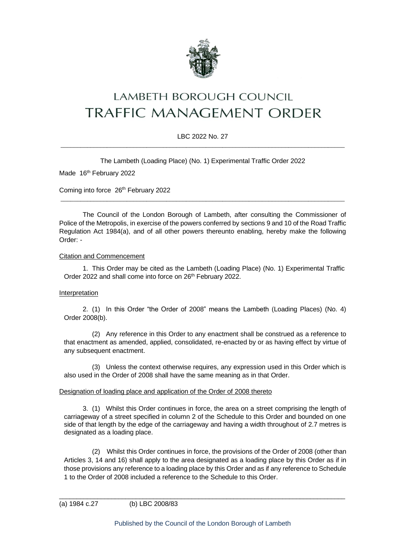

# LAMBETH BOROUGH COUNCIL TRAFFIC MANAGEMENT ORDER

## LBC 2022 No. 27  $\_$  ,  $\_$  ,  $\_$  ,  $\_$  ,  $\_$  ,  $\_$  ,  $\_$  ,  $\_$  ,  $\_$  ,  $\_$  ,  $\_$  ,  $\_$  ,  $\_$  ,  $\_$  ,  $\_$  ,  $\_$  ,  $\_$  ,  $\_$  ,  $\_$  ,  $\_$  ,  $\_$  ,  $\_$  ,  $\_$  ,  $\_$  ,  $\_$  ,  $\_$  ,  $\_$  ,  $\_$  ,  $\_$  ,  $\_$  ,  $\_$  ,  $\_$  ,  $\_$  ,  $\_$  ,  $\_$  ,  $\_$  ,  $\_$  ,

The Lambeth (Loading Place) (No. 1) Experimental Traffic Order 2022

Made 16<sup>th</sup> February 2022

Coming into force 26<sup>th</sup> February 2022

The Council of the London Borough of Lambeth, after consulting the Commissioner of Police of the Metropolis, in exercise of the powers conferred by sections 9 and 10 of the Road Traffic Regulation Act 1984(a), and of all other powers thereunto enabling, hereby make the following Order: -

 $\_$  ,  $\_$  ,  $\_$  ,  $\_$  ,  $\_$  ,  $\_$  ,  $\_$  ,  $\_$  ,  $\_$  ,  $\_$  ,  $\_$  ,  $\_$  ,  $\_$  ,  $\_$  ,  $\_$  ,  $\_$  ,  $\_$  ,  $\_$  ,  $\_$  ,  $\_$  ,  $\_$  ,  $\_$  ,  $\_$  ,  $\_$  ,  $\_$  ,  $\_$  ,  $\_$  ,  $\_$  ,  $\_$  ,  $\_$  ,  $\_$  ,  $\_$  ,  $\_$  ,  $\_$  ,  $\_$  ,  $\_$  ,  $\_$  ,

#### Citation and Commencement

1. This Order may be cited as the Lambeth (Loading Place) (No. 1) Experimental Traffic Order 2022 and shall come into force on 26<sup>th</sup> February 2022.

#### Interpretation

2. (1) In this Order "the Order of 2008" means the Lambeth (Loading Places) (No. 4) Order 2008(b).

(2) Any reference in this Order to any enactment shall be construed as a reference to that enactment as amended, applied, consolidated, re-enacted by or as having effect by virtue of any subsequent enactment.

(3) Unless the context otherwise requires, any expression used in this Order which is also used in the Order of 2008 shall have the same meaning as in that Order.

#### Designation of loading place and application of the Order of 2008 thereto

3. (1) Whilst this Order continues in force, the area on a street comprising the length of carriageway of a street specified in column 2 of the Schedule to this Order and bounded on one side of that length by the edge of the carriageway and having a width throughout of 2.7 metres is designated as a loading place.

(2) Whilst this Order continues in force, the provisions of the Order of 2008 (other than Articles 3, 14 and 16) shall apply to the area designated as a loading place by this Order as if in those provisions any reference to a loading place by this Order and as if any reference to Schedule 1 to the Order of 2008 included a reference to the Schedule to this Order.

\_\_\_\_\_\_\_\_\_\_\_\_\_\_\_\_\_\_\_\_\_\_\_\_\_\_\_\_\_\_\_\_\_\_\_\_\_\_\_\_\_\_\_\_\_\_\_\_\_\_\_\_\_\_\_\_\_\_\_\_\_\_\_\_\_\_\_\_\_\_\_\_\_\_\_\_\_\_\_\_\_\_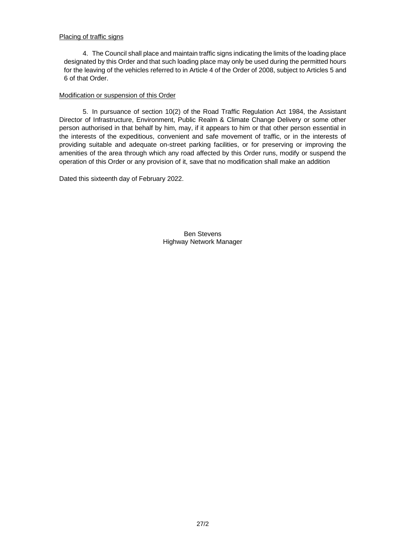#### Placing of traffic signs

4. The Council shall place and maintain traffic signs indicating the limits of the loading place designated by this Order and that such loading place may only be used during the permitted hours for the leaving of the vehicles referred to in Article 4 of the Order of 2008, subject to Articles 5 and 6 of that Order.

#### Modification or suspension of this Order

5. In pursuance of section 10(2) of the Road Traffic Regulation Act 1984, the Assistant Director of Infrastructure, Environment, Public Realm & Climate Change Delivery or some other person authorised in that behalf by him, may, if it appears to him or that other person essential in the interests of the expeditious, convenient and safe movement of traffic, or in the interests of providing suitable and adequate on-street parking facilities, or for preserving or improving the amenities of the area through which any road affected by this Order runs, modify or suspend the operation of this Order or any provision of it, save that no modification shall make an addition

Dated this sixteenth day of February 2022.

Ben Stevens Highway Network Manager